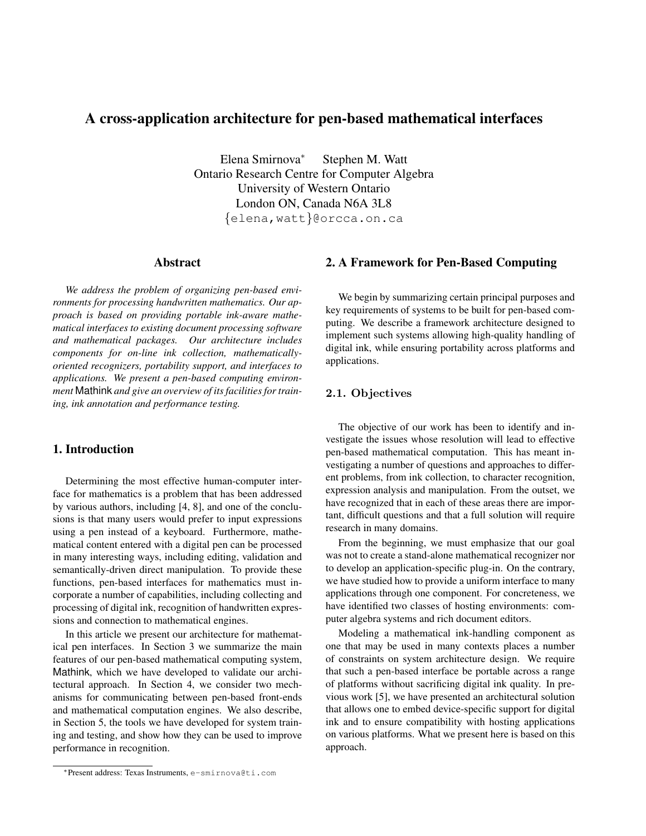# A cross-application architecture for pen-based mathematical interfaces

Elena Smirnova<sup>∗</sup> Stephen M. Watt Ontario Research Centre for Computer Algebra University of Western Ontario London ON, Canada N6A 3L8 {elena,watt}@orcca.on.ca

### Abstract

*We address the problem of organizing pen-based environments for processing handwritten mathematics. Our approach is based on providing portable ink-aware mathematical interfaces to existing document processing software and mathematical packages. Our architecture includes components for on-line ink collection, mathematicallyoriented recognizers, portability support, and interfaces to applications. We present a pen-based computing environment* Mathink *and give an overview of its facilities for training, ink annotation and performance testing.*

# 1. Introduction

Determining the most effective human-computer interface for mathematics is a problem that has been addressed by various authors, including [4, 8], and one of the conclusions is that many users would prefer to input expressions using a pen instead of a keyboard. Furthermore, mathematical content entered with a digital pen can be processed in many interesting ways, including editing, validation and semantically-driven direct manipulation. To provide these functions, pen-based interfaces for mathematics must incorporate a number of capabilities, including collecting and processing of digital ink, recognition of handwritten expressions and connection to mathematical engines.

In this article we present our architecture for mathematical pen interfaces. In Section 3 we summarize the main features of our pen-based mathematical computing system, Mathink, which we have developed to validate our architectural approach. In Section 4, we consider two mechanisms for communicating between pen-based front-ends and mathematical computation engines. We also describe, in Section 5, the tools we have developed for system training and testing, and show how they can be used to improve performance in recognition.

# 2. A Framework for Pen-Based Computing

We begin by summarizing certain principal purposes and key requirements of systems to be built for pen-based computing. We describe a framework architecture designed to implement such systems allowing high-quality handling of digital ink, while ensuring portability across platforms and applications.

# 2.1. Objectives

The objective of our work has been to identify and investigate the issues whose resolution will lead to effective pen-based mathematical computation. This has meant investigating a number of questions and approaches to different problems, from ink collection, to character recognition, expression analysis and manipulation. From the outset, we have recognized that in each of these areas there are important, difficult questions and that a full solution will require research in many domains.

From the beginning, we must emphasize that our goal was not to create a stand-alone mathematical recognizer nor to develop an application-specific plug-in. On the contrary, we have studied how to provide a uniform interface to many applications through one component. For concreteness, we have identified two classes of hosting environments: computer algebra systems and rich document editors.

Modeling a mathematical ink-handling component as one that may be used in many contexts places a number of constraints on system architecture design. We require that such a pen-based interface be portable across a range of platforms without sacrificing digital ink quality. In previous work [5], we have presented an architectural solution that allows one to embed device-specific support for digital ink and to ensure compatibility with hosting applications on various platforms. What we present here is based on this approach.

<sup>∗</sup>Present address: Texas Instruments, e-smirnova@ti.com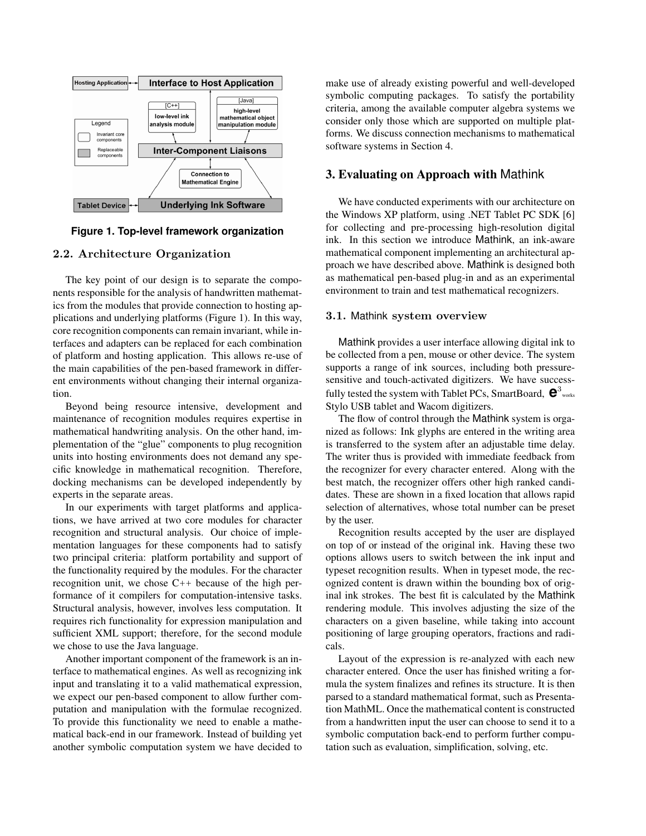

**Figure 1. Top-level framework organization**

### 2.2. Architecture Organization

The key point of our design is to separate the components responsible for the analysis of handwritten mathematics from the modules that provide connection to hosting applications and underlying platforms (Figure 1). In this way, core recognition components can remain invariant, while interfaces and adapters can be replaced for each combination of platform and hosting application. This allows re-use of the main capabilities of the pen-based framework in different environments without changing their internal organization.

Beyond being resource intensive, development and maintenance of recognition modules requires expertise in mathematical handwriting analysis. On the other hand, implementation of the "glue" components to plug recognition units into hosting environments does not demand any specific knowledge in mathematical recognition. Therefore, docking mechanisms can be developed independently by experts in the separate areas.

In our experiments with target platforms and applications, we have arrived at two core modules for character recognition and structural analysis. Our choice of implementation languages for these components had to satisfy two principal criteria: platform portability and support of the functionality required by the modules. For the character recognition unit, we chose  $C_{++}$  because of the high performance of it compilers for computation-intensive tasks. Structural analysis, however, involves less computation. It requires rich functionality for expression manipulation and sufficient XML support; therefore, for the second module we chose to use the Java language.

Another important component of the framework is an interface to mathematical engines. As well as recognizing ink input and translating it to a valid mathematical expression, we expect our pen-based component to allow further computation and manipulation with the formulae recognized. To provide this functionality we need to enable a mathematical back-end in our framework. Instead of building yet another symbolic computation system we have decided to make use of already existing powerful and well-developed symbolic computing packages. To satisfy the portability criteria, among the available computer algebra systems we consider only those which are supported on multiple platforms. We discuss connection mechanisms to mathematical software systems in Section 4.

# 3. Evaluating on Approach with Mathink

We have conducted experiments with our architecture on the Windows XP platform, using .NET Tablet PC SDK [6] for collecting and pre-processing high-resolution digital ink. In this section we introduce Mathink, an ink-aware mathematical component implementing an architectural approach we have described above. Mathink is designed both as mathematical pen-based plug-in and as an experimental environment to train and test mathematical recognizers.

#### 3.1. Mathink system overview

Mathink provides a user interface allowing digital ink to be collected from a pen, mouse or other device. The system supports a range of ink sources, including both pressuresensitive and touch-activated digitizers. We have successfully tested the system with Tablet PCs, SmartBoard,  $\mathbf{e}^3$ <sub>works</sub> Stylo USB tablet and Wacom digitizers.

The flow of control through the Mathink system is organized as follows: Ink glyphs are entered in the writing area is transferred to the system after an adjustable time delay. The writer thus is provided with immediate feedback from the recognizer for every character entered. Along with the best match, the recognizer offers other high ranked candidates. These are shown in a fixed location that allows rapid selection of alternatives, whose total number can be preset by the user.

Recognition results accepted by the user are displayed on top of or instead of the original ink. Having these two options allows users to switch between the ink input and typeset recognition results. When in typeset mode, the recognized content is drawn within the bounding box of original ink strokes. The best fit is calculated by the Mathink rendering module. This involves adjusting the size of the characters on a given baseline, while taking into account positioning of large grouping operators, fractions and radicals.

Layout of the expression is re-analyzed with each new character entered. Once the user has finished writing a formula the system finalizes and refines its structure. It is then parsed to a standard mathematical format, such as Presentation MathML. Once the mathematical content is constructed from a handwritten input the user can choose to send it to a symbolic computation back-end to perform further computation such as evaluation, simplification, solving, etc.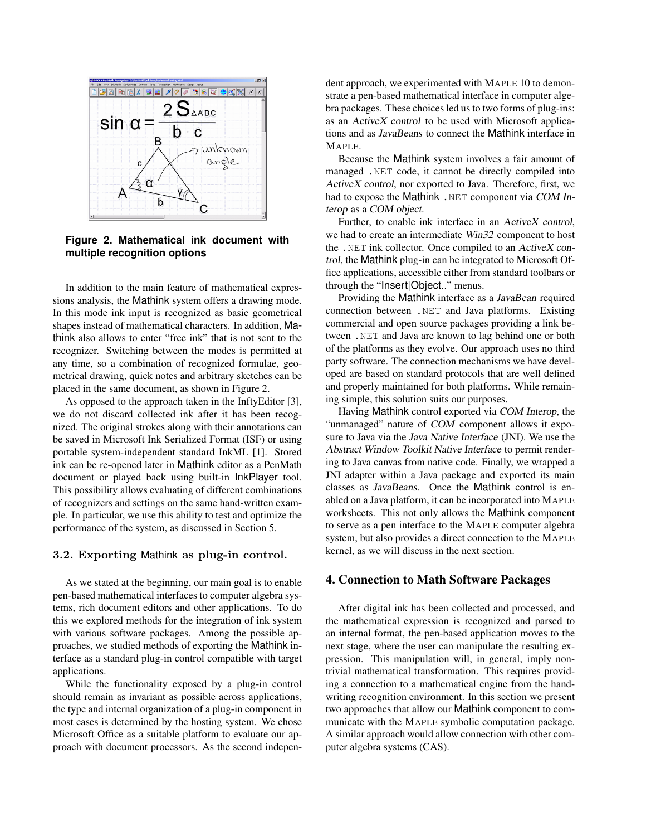

**Figure 2. Mathematical ink document with multiple recognition options**

In addition to the main feature of mathematical expressions analysis, the Mathink system offers a drawing mode. In this mode ink input is recognized as basic geometrical shapes instead of mathematical characters. In addition, Mathink also allows to enter "free ink" that is not sent to the recognizer. Switching between the modes is permitted at any time, so a combination of recognized formulae, geometrical drawing, quick notes and arbitrary sketches can be placed in the same document, as shown in Figure 2.

As opposed to the approach taken in the InftyEditor [3], we do not discard collected ink after it has been recognized. The original strokes along with their annotations can be saved in Microsoft Ink Serialized Format (ISF) or using portable system-independent standard InkML [1]. Stored ink can be re-opened later in Mathink editor as a PenMath document or played back using built-in InkPlayer tool. This possibility allows evaluating of different combinations of recognizers and settings on the same hand-written example. In particular, we use this ability to test and optimize the performance of the system, as discussed in Section 5.

#### 3.2. Exporting Mathink as plug-in control.

As we stated at the beginning, our main goal is to enable pen-based mathematical interfaces to computer algebra systems, rich document editors and other applications. To do this we explored methods for the integration of ink system with various software packages. Among the possible approaches, we studied methods of exporting the Mathink interface as a standard plug-in control compatible with target applications.

While the functionality exposed by a plug-in control should remain as invariant as possible across applications, the type and internal organization of a plug-in component in most cases is determined by the hosting system. We chose Microsoft Office as a suitable platform to evaluate our approach with document processors. As the second independent approach, we experimented with MAPLE 10 to demonstrate a pen-based mathematical interface in computer algebra packages. These choices led us to two forms of plug-ins: as an ActiveX control to be used with Microsoft applications and as JavaBeans to connect the Mathink interface in MAPLE.

Because the Mathink system involves a fair amount of managed .NET code, it cannot be directly compiled into ActiveX control, nor exported to Java. Therefore, first, we had to expose the Mathink . NET component via COM Interop as a COM object.

Further, to enable ink interface in an ActiveX control, we had to create an intermediate Win32 component to host the .NET ink collector. Once compiled to an ActiveX control, the Mathink plug-in can be integrated to Microsoft Office applications, accessible either from standard toolbars or through the "Insert|Object.." menus.

Providing the Mathink interface as a JavaBean required connection between .NET and Java platforms. Existing commercial and open source packages providing a link between .NET and Java are known to lag behind one or both of the platforms as they evolve. Our approach uses no third party software. The connection mechanisms we have developed are based on standard protocols that are well defined and properly maintained for both platforms. While remaining simple, this solution suits our purposes.

Having Mathink control exported via COM Interop, the "unmanaged" nature of COM component allows it exposure to Java via the Java Native Interface (JNI). We use the Abstract Window Toolkit Native Interface to permit rendering to Java canvas from native code. Finally, we wrapped a JNI adapter within a Java package and exported its main classes as JavaBeans. Once the Mathink control is enabled on a Java platform, it can be incorporated into MAPLE worksheets. This not only allows the Mathink component to serve as a pen interface to the MAPLE computer algebra system, but also provides a direct connection to the MAPLE kernel, as we will discuss in the next section.

### 4. Connection to Math Software Packages

After digital ink has been collected and processed, and the mathematical expression is recognized and parsed to an internal format, the pen-based application moves to the next stage, where the user can manipulate the resulting expression. This manipulation will, in general, imply nontrivial mathematical transformation. This requires providing a connection to a mathematical engine from the handwriting recognition environment. In this section we present two approaches that allow our Mathink component to communicate with the MAPLE symbolic computation package. A similar approach would allow connection with other computer algebra systems (CAS).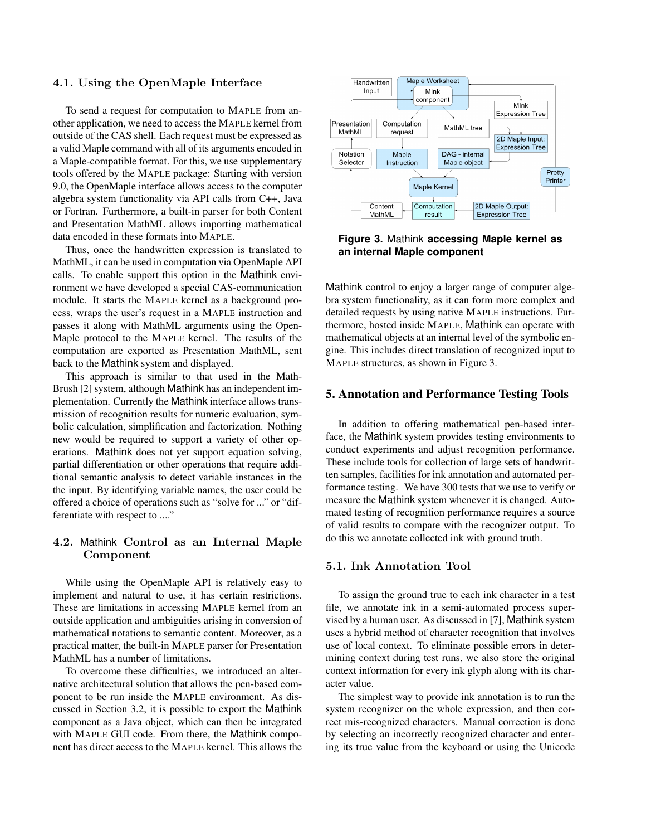#### 4.1. Using the OpenMaple Interface

To send a request for computation to MAPLE from another application, we need to access the MAPLE kernel from outside of the CAS shell. Each request must be expressed as a valid Maple command with all of its arguments encoded in a Maple-compatible format. For this, we use supplementary tools offered by the MAPLE package: Starting with version 9.0, the OpenMaple interface allows access to the computer algebra system functionality via API calls from C++, Java or Fortran. Furthermore, a built-in parser for both Content and Presentation MathML allows importing mathematical data encoded in these formats into MAPLE.

Thus, once the handwritten expression is translated to MathML, it can be used in computation via OpenMaple API calls. To enable support this option in the Mathink environment we have developed a special CAS-communication module. It starts the MAPLE kernel as a background process, wraps the user's request in a MAPLE instruction and passes it along with MathML arguments using the Open-Maple protocol to the MAPLE kernel. The results of the computation are exported as Presentation MathML, sent back to the Mathink system and displayed.

This approach is similar to that used in the Math-Brush [2] system, although Mathink has an independent implementation. Currently the Mathink interface allows transmission of recognition results for numeric evaluation, symbolic calculation, simplification and factorization. Nothing new would be required to support a variety of other operations. Mathink does not yet support equation solving, partial differentiation or other operations that require additional semantic analysis to detect variable instances in the the input. By identifying variable names, the user could be offered a choice of operations such as "solve for ..." or "differentiate with respect to ...."

### 4.2. Mathink Control as an Internal Maple Component

While using the OpenMaple API is relatively easy to implement and natural to use, it has certain restrictions. These are limitations in accessing MAPLE kernel from an outside application and ambiguities arising in conversion of mathematical notations to semantic content. Moreover, as a practical matter, the built-in MAPLE parser for Presentation MathML has a number of limitations.

To overcome these difficulties, we introduced an alternative architectural solution that allows the pen-based component to be run inside the MAPLE environment. As discussed in Section 3.2, it is possible to export the Mathink component as a Java object, which can then be integrated with MAPLE GUI code. From there, the Mathink component has direct access to the MAPLE kernel. This allows the



**Figure 3.** Mathink **accessing Maple kernel as an internal Maple component**

Mathink control to enjoy a larger range of computer algebra system functionality, as it can form more complex and detailed requests by using native MAPLE instructions. Furthermore, hosted inside MAPLE, Mathink can operate with mathematical objects at an internal level of the symbolic engine. This includes direct translation of recognized input to MAPLE structures, as shown in Figure 3.

### 5. Annotation and Performance Testing Tools

In addition to offering mathematical pen-based interface, the Mathink system provides testing environments to conduct experiments and adjust recognition performance. These include tools for collection of large sets of handwritten samples, facilities for ink annotation and automated performance testing. We have 300 tests that we use to verify or measure the Mathink system whenever it is changed. Automated testing of recognition performance requires a source of valid results to compare with the recognizer output. To do this we annotate collected ink with ground truth.

#### 5.1. Ink Annotation Tool

To assign the ground true to each ink character in a test file, we annotate ink in a semi-automated process supervised by a human user. As discussed in [7], Mathink system uses a hybrid method of character recognition that involves use of local context. To eliminate possible errors in determining context during test runs, we also store the original context information for every ink glyph along with its character value.

The simplest way to provide ink annotation is to run the system recognizer on the whole expression, and then correct mis-recognized characters. Manual correction is done by selecting an incorrectly recognized character and entering its true value from the keyboard or using the Unicode